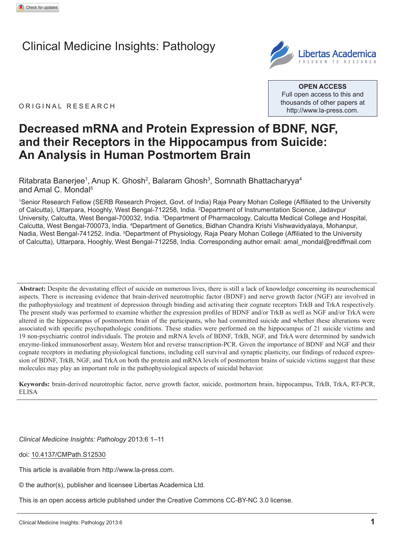# Clinical Medicine Insights: Pathology



ORIGINAL RESEARCH

**Open Access** Full open access to this and thousands of other papers at <http://www.la-press.com>.

## **Decreased mRNA and Protein Expression of BDNF, NGF, and their Receptors in the Hippocampus from Suicide: An Analysis in Human Postmortem Brain**

Ritabrata Banerjee<sup>1</sup>, Anup K. Ghosh<sup>2</sup>, Balaram Ghosh<sup>3</sup>, Somnath Bhattacharyya<sup>4</sup> and Amal C. Mondal<sup>5</sup>

1 Senior Research Fellow (SERB Research Project, Govt. of India) Raja Peary Mohan College (Affiliated to the University of Calcutta), Uttarpara, Hooghly, West Bengal-712258, India. <sup>2</sup> Department of Instrumentation Science, Jadavpur University, Calcutta, West Bengal-700032, India. <sup>3</sup>Department of Pharmacology, Calcutta Medical College and Hospital, Calcutta, West Bengal-700073, India. <sup>4</sup>Department of Genetics, Bidhan Chandra Krishi Vishwavidyalaya, Mohanpur, Nadia, West Bengal-741252. India. <sup>5</sup>Department of Physiology, Raja Peary Mohan College (Affiliated to the University of Calcutta), Uttarpara, Hooghly, West Bengal-712258, India. Corresponding author email: [amal\\_mondal@rediffmail.com](mailto:amal_mondal@rediffmail.com)

**Abstract:** Despite the devastating effect of suicide on numerous lives, there is still a lack of knowledge concerning its neurochemical aspects. There is increasing evidence that brain-derived neurotrophic factor (BDNF) and nerve growth factor (NGF) are involved in the pathophysiology and treatment of depression through binding and activating their cognate receptors TrkB and TrkA respectively. The present study was performed to examine whether the expression profiles of BDNF and/or TrkB as well as NGF and/or TrkA were altered in the hippocampus of postmortem brain of the participants, who had committed suicide and whether these alterations were associated with specific psychopathologic conditions. These studies were performed on the hippocampus of 21 suicide victims and 19 non-psychiatric control individuals. The protein and mRNA levels of BDNF, TrkB, NGF, and TrkA were determined by sandwich enzyme-linked immunosorbent assay, Western blot and reverse transcription-PCR. Given the importance of BDNF and NGF and their cognate receptors in mediating physiological functions, including cell survival and synaptic plasticity, our findings of reduced expression of BDNF, TrkB, NGF, and TrkA on both the protein and mRNA levels of postmortem brains of suicide victims suggest that these molecules may play an important role in the pathophysiological aspects of suicidal behavior.

**Keywords:** brain-derived neurotrophic factor, nerve growth factor, suicide, postmortem brain, hippocampus, TrkB, TrkA, RT-PCR, ELISA

*Clinical Medicine Insights: Pathology* 2013:6 1–11

doi: [10.4137/CMPath.S12530](http://dx.doi.org/10.4137/CMPath.S12530)

This article is available from [http://www.la-press.com.](http://www.la-press.com)

© the author(s), publisher and licensee Libertas Academica Ltd.

This is an open access article published under the Creative Commons CC-BY-NC 3.0 license.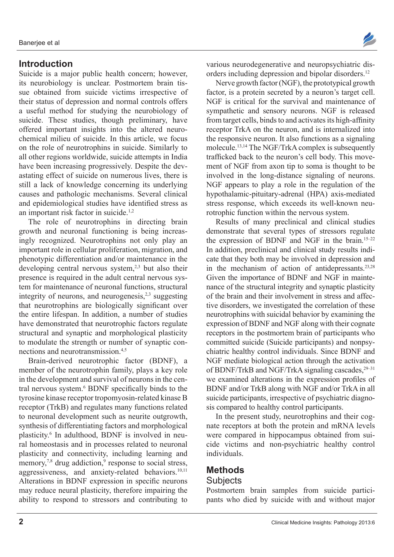## **Introduction**

Suicide is a major public health concern; however, its neurobiology is unclear. Postmortem brain tissue obtained from suicide victims irrespective of their status of depression and normal controls offers a useful method for studying the neurobiology of suicide. These studies, though preliminary, have offered important insights into the altered neurochemical milieu of suicide. In this article, we focus on the role of neurotrophins in suicide. Similarly to all other regions worldwide, suicide attempts in India have been increasing progressively. Despite the devastating effect of suicide on numerous lives, there is still a lack of knowledge concerning its underlying causes and pathologic mechanisms. Several clinical and epidemiological studies have identified stress as an important risk factor in suicide.1,2

The role of neurotrophins in directing brain growth and neuronal functioning is being increasingly recognized. Neurotrophins not only play an important role in cellular proliferation, migration, and phenotypic differentiation and/or maintenance in the developing central nervous system,<sup>2,3</sup> but also their presence is required in the adult central nervous system for maintenance of neuronal functions, structural integrity of neurons, and neurogenesis, $2,3$  suggesting that neurotrophins are biologically significant over the entire lifespan. In addition, a number of studies have demonstrated that neurotrophic factors regulate structural and synaptic and morphological plasticity to modulate the strength or number of synaptic connections and neurotransmission.4,5

Brain-derived neurotrophic factor (BDNF), a member of the neurotrophin family, plays a key role in the development and survival of neurons in the central nervous system.6 BDNF specifically binds to the tyrosine kinase receptor tropomyosin-related kinase B receptor (TrkB) and regulates many functions related to neuronal development such as neurite outgrowth, synthesis of differentiating factors and morphological plasticity.6 In adulthood, BDNF is involved in neural homeostasis and in processes related to neuronal plasticity and connectivity, including learning and memory,<sup>7,8</sup> drug addiction,<sup>9</sup> response to social stress, aggressiveness, and anxiety-related behaviors.<sup>10,11</sup> Alterations in BDNF expression in specific neurons may reduce neural plasticity, therefore impairing the ability to respond to stressors and contributing to

various neurodegenerative and neuropsychiatric disorders including depression and bipolar disorders.<sup>12</sup>

Nerve growth factor (NGF), the prototypical growth factor, is a protein secreted by a neuron's target cell. NGF is critical for the survival and maintenance of sympathetic and sensory neurons. NGF is released from target cells, binds to and activates its high-affinity receptor TrkA on the neuron, and is internalized into the responsive neuron. It also functions as a signaling molecule.13,14 The NGF/TrkA complex is subsequently trafficked back to the neuron's cell body. This movement of NGF from axon tip to soma is thought to be involved in the long-distance signaling of neurons. NGF appears to play a role in the regulation of the hypothalamic-pituitary-adrenal (HPA) axis-mediated stress response, which exceeds its well-known neurotrophic function within the nervous system.

Results of many preclinical and clinical studies demonstrate that several types of stressors regulate the expression of BDNF and NGF in the brain.<sup>15-22</sup> In addition, preclinical and clinical study results indicate that they both may be involved in depression and in the mechanism of action of antidepressants.23,28 Given the importance of BDNF and NGF in maintenance of the structural integrity and synaptic plasticity of the brain and their involvement in stress and affective disorders, we investigated the correlation of these neurotrophins with suicidal behavior by examining the expression of BDNF and NGF along with their cognate receptors in the postmortem brain of participants who committed suicide (Suicide participants) and nonpsychiatric healthy control individuals. Since BDNF and NGF mediate biological action through the activation of BDNF/TrkB and NGF/TrkA signaling cascades,<sup>29-31</sup> we examined alterations in the expression profiles of BDNF and/or TrkB along with NGF and/or TrkA in all suicide participants, irrespective of psychiatric diagnosis compared to healthy control participants.

In the present study, neurotrophins and their cognate receptors at both the protein and mRNA levels were compared in hippocampus obtained from suicide victims and non-psychiatric healthy control individuals.

# **Methods**

## **Subjects**

Postmortem brain samples from suicide participants who died by suicide with and without major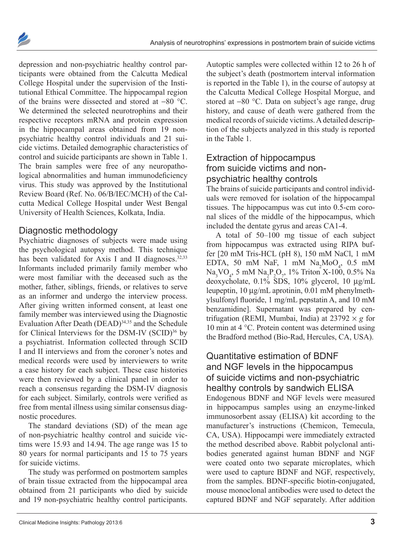



depression and non-psychiatric healthy control participants were obtained from the Calcutta Medical College Hospital under the supervision of the Institutional Ethical Committee. The hippocampal region of the brains were dissected and stored at −80 °C. We determined the selected neurotrophins and their respective receptors mRNA and protein expression in the hippocampal areas obtained from 19 nonpsychiatric healthy control individuals and 21 suicide victims. Detailed demographic characteristics of control and suicide participants are shown in Table 1. The brain samples were free of any neuropathological abnormalities and human immunodeficiency virus. This study was approved by the Institutional Review Board (Ref. No. 06/B/IEC/MCH) of the Calcutta Medical College Hospital under West Bengal University of Health Sciences, Kolkata, India.

## Diagnostic methodology

Psychiatric diagnoses of subjects were made using the psychological autopsy method. This technique has been validated for Axis I and II diagnoses. $32,33$ Informants included primarily family member who were most familiar with the deceased such as the mother, father, siblings, friends, or relatives to serve as an informer and undergo the interview process. After giving written informed consent, at least one family member was interviewed using the Diagnostic Evaluation After Death (DEAD)<sup>34,35</sup> and the Schedule for Clinical Interviews for the DSM-IV (SCID)<sup>36</sup> by a psychiatrist. Information collected through SCID I and II interviews and from the coroner's notes and medical records were used by interviewers to write a case history for each subject. These case histories were then reviewed by a clinical panel in order to reach a consensus regarding the DSM-IV diagnosis for each subject. Similarly, controls were verified as free from mental illness using similar consensus diagnostic procedures.

The standard deviations (SD) of the mean age of non-psychiatric healthy control and suicide victims were 15.93 and 14.94. The age range was 15 to 80 years for normal participants and 15 to 75 years for suicide victims.

The study was performed on postmortem samples of brain tissue extracted from the hippocampal area obtained from 21 participants who died by suicide and 19 non-psychiatric healthy control participants.

Autoptic samples were collected within 12 to 26 h of the subject's death (postmortem interval information is reported in the Table 1), in the course of autopsy at the Calcutta Medical College Hospital Morgue, and stored at −80 °C. Data on subject's age range, drug history, and cause of death were gathered from the medical records of suicide victims. A detailed description of the subjects analyzed in this study is reported in the Table 1.

## Extraction of hippocampus from suicide victims and nonpsychiatric healthy controls

The brains of suicide participants and control individuals were removed for isolation of the hippocampal tissues. The hippocampus was cut into 0.5-cm coronal slices of the middle of the hippocampus, which included the dentate gyrus and areas CA1-4.

A total of 50–100 mg tissue of each subject from hippocampus was extracted using RIPA buffer [20 mM Tris-HCL (pH 8), 150 mM NaCl, 1 mM EDTA, 50 mM NaF, 1 mM  $\text{Na}_2\text{MoO}_4$ , 0.5 mM  $Na<sub>3</sub>VO<sub>4</sub>$ , 5 mM  $Na<sub>2</sub>P<sub>2</sub>O<sub>7</sub>$ , 1% Triton X-100, 0.5% Na deoxycholate, 0.1% SDS, 10% glycerol, 10 µg/mL leupeptin, 10 µg/mL aprotinin, 0.01 mM phenylmethylsulfonyl fluoride, 1 mg/mL pepstatin A, and 10 mM benzamidine]. Supernatant was prepared by centrifugation (REMI, Mumbai, India) at  $23792 \times g$  for 10 min at 4 °C. Protein content was determined using the Bradford method (Bio-Rad, Hercules, CA, USA).

## Quantitative estimation of BDNF and NGF levels in the hippocampus of suicide victims and non-psychiatric healthy controls by sandwich ELISA

Endogenous BDNF and NGF levels were measured in hippocampus samples using an enzyme-linked immunosorbent assay (ELISA) kit according to the manufacturer's instructions (Chemicon, Temecula, CA, USA). Hippocampi were immediately extracted the method described above. Rabbit polyclonal antibodies generated against human BDNF and NGF were coated onto two separate microplates, which were used to capture BDNF and NGF, respectively, from the samples. BDNF-specific biotin-conjugated, mouse monoclonal antibodies were used to detect the captured BDNF and NGF separately. After addition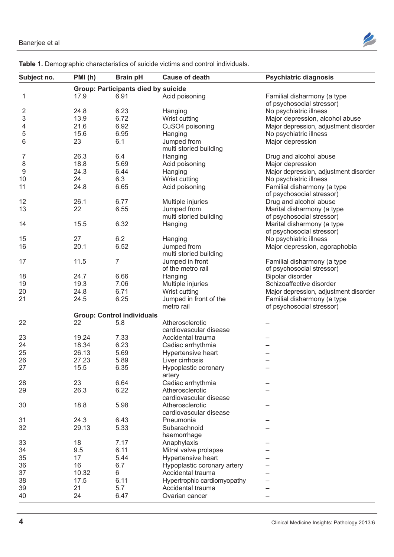

| Subject no.      | PMI(h)                            | <b>Brain pH</b>                            | <b>Cause of death</b>       | <b>Psychiatric diagnosis</b>                             |
|------------------|-----------------------------------|--------------------------------------------|-----------------------------|----------------------------------------------------------|
|                  |                                   | <b>Group: Participants died by suicide</b> |                             |                                                          |
| 1                | 17.9                              | 6.91                                       | Acid poisoning              | Familial disharmony (a type<br>of psychosocial stressor) |
| $\overline{2}$   | 24.8                              | 6.23                                       | Hanging                     | No psychiatric illness                                   |
| 3                | 13.9                              | 6.72                                       | Wrist cutting               | Major depression, alcohol abuse                          |
| 4                | 21.6                              | 6.92                                       | CuSO4 poisoning             | Major depression, adjustment disorder                    |
| 5                | 15.6                              | 6.95                                       | Hanging                     | No psychiatric illness                                   |
| 6                | 23                                | 6.1                                        | Jumped from                 | Major depression                                         |
|                  |                                   |                                            | multi storied building      |                                                          |
| 7                | 26.3                              | 6.4                                        | Hanging                     | Drug and alcohol abuse                                   |
| $\,8\,$          | 18.8                              | 5.69                                       | Acid poisoning              | Major depression                                         |
| $\boldsymbol{9}$ | 24.3                              | 6.44                                       | Hanging                     | Major depression, adjustment disorder                    |
| 10               | 24                                | 6.3                                        | Wrist cutting               | No psychiatric illness                                   |
| 11               | 24.8                              | 6.65                                       | Acid poisoning              | Familial disharmony (a type                              |
|                  |                                   |                                            |                             | of psychosocial stressor)                                |
| 12               | 26.1                              | 6.77                                       | Multiple injuries           | Drug and alcohol abuse                                   |
| 13               | 22                                | 6.55                                       | Jumped from                 | Marital disharmony (a type                               |
|                  |                                   |                                            | multi storied building      | of psychosocial stressor)                                |
| 14               | 15.5                              | 6.32                                       | Hanging                     | Marital disharmony (a type                               |
|                  |                                   |                                            |                             | of psychosocial stressor)                                |
| 15               | 27                                | 6.2                                        | Hanging                     | No psychiatric illness                                   |
| 16               | 20.1                              | 6.52                                       | Jumped from                 | Major depression, agoraphobia                            |
|                  |                                   |                                            | multi storied building      |                                                          |
| 17               | 11.5                              | $\overline{7}$                             | Jumped in front             | Familial disharmony (a type                              |
|                  |                                   |                                            | of the metro rail           | of psychosocial stressor)                                |
| 18               | 24.7                              | 6.66                                       | Hanging                     | Bipolar disorder                                         |
| 19               | 19.3                              | 7.06                                       | Multiple injuries           | Schizoaffective disorder                                 |
| 20               | 24.8                              | 6.71                                       | Wrist cutting               | Major depression, adjustment disorder                    |
| 21               | 24.5                              | 6.25                                       | Jumped in front of the      | Familial disharmony (a type                              |
|                  |                                   |                                            | metro rail                  | of psychosocial stressor)                                |
|                  | <b>Group: Control individuals</b> |                                            |                             |                                                          |
| 22               | 22                                | 5.8                                        | Atherosclerotic             |                                                          |
|                  |                                   |                                            | cardiovascular disease      |                                                          |
| 23               | 19.24                             | 7.33                                       | Accidental trauma           |                                                          |
| 24               | 18.34                             | 6.23                                       | Cadiac arrhythmia           |                                                          |
| 25               | 26.13                             | 5.69                                       | Hypertensive heart          |                                                          |
| 26               | 27.23                             | 5.89                                       | Liver cirrhosis             |                                                          |
| 27               | 15.5                              | 6.35                                       | Hypoplastic coronary        |                                                          |
|                  |                                   |                                            | artery                      |                                                          |
| 28               | 23                                | 6.64                                       | Cadiac arrhythmia           |                                                          |
| 29               | 26.3                              | 6.22                                       | Atherosclerotic             |                                                          |
|                  |                                   |                                            | cardiovascular disease      |                                                          |
| 30               | 18.8                              | 5.98                                       | Atherosclerotic             |                                                          |
|                  |                                   |                                            | cardiovascular disease      |                                                          |
| 31               | 24.3                              | 6.43                                       | Pneumonia                   |                                                          |
| 32               | 29.13                             | 5.33                                       | Subarachnoid                |                                                          |
|                  |                                   |                                            | haemorrhage                 |                                                          |
| 33               | 18                                | 7.17                                       | Anaphylaxis                 |                                                          |
| 34               | 9.5                               | 6.11                                       | Mitral valve prolapse       |                                                          |
| 35               | 17                                | 5.44                                       | Hypertensive heart          |                                                          |
| 36               | 16                                | 6.7                                        | Hypoplastic coronary artery |                                                          |
| 37               | 10.32                             | 6                                          | Accidental trauma           |                                                          |
| 38               | 17.5                              | 6.11                                       | Hypertrophic cardiomyopathy |                                                          |
| 39               | 21                                | 5.7                                        | Accidental trauma           |                                                          |
| 40               | 24                                | 6.47                                       | Ovarian cancer              |                                                          |
|                  |                                   |                                            |                             |                                                          |

**Table 1.** Demographic characteristics of suicide victims and control individuals.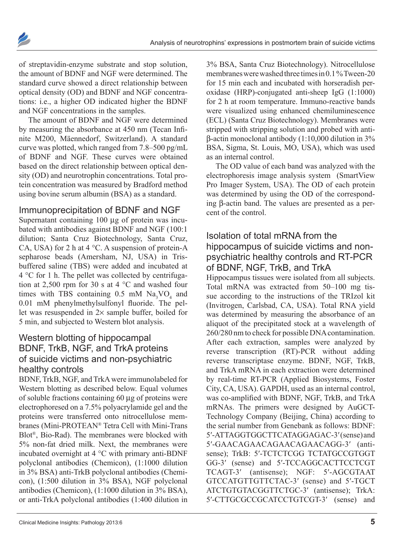

of streptavidin-enzyme substrate and stop solution, the amount of BDNF and NGF were determined. The standard curve showed a direct relationship between optical density (OD) and BDNF and NGF concentrations: i.e., a higher OD indicated higher the BDNF and NGF concentrations in the samples.

The amount of BDNF and NGF were determined by measuring the absorbance at 450 nm (Tecan Infinite M200, Mäennedorf, Switzerland). A standard curve was plotted, which ranged from 7.8–500 pg/mL of BDNF and NGF. These curves were obtained based on the direct relationship between optical density (OD) and neurotrophin concentrations. Total protein concentration was measured by Bradford method using bovine serum albumin (BSA) as a standard.

## Immunoprecipitation of BDNF and NGF

Supernatant containing 100 µg of protein was incubated with antibodies against BDNF and NGF (100:1 dilution; Santa Cruz Biotechnology, Santa Cruz, CA, USA) for 2 h at 4 °C. A suspension of protein-A sepharose beads (Amersham, NJ, USA) in Trisbuffered saline (TBS) were added and incubated at 4 °C for 1 h. The pellet was collected by centrifugation at 2,500 rpm for 30 s at 4 °C and washed four times with TBS containing  $0.5$  mM  $\text{Na}_3\text{VO}_4$  and 0.01 mM phenylmethylsulfonyl fluoride. The pellet was resuspended in 2× sample buffer, boiled for 5 min, and subjected to Western blot analysis.

## Western blotting of hippocampal BDNF, TrkB, NGF, and TrkA proteins of suicide victims and non-psychiatric healthy controls

BDNF, TrkB, NGF, and TrkA were immunolabeled for Western blotting as described below. Equal volumes of soluble fractions containing 60 µg of proteins were electrophoresed on a 7.5% polyacrylamide gel and the proteins were transferred onto nitrocellulose membranes (Mini-PROTEAN® Tetra Cell with Mini-Trans Blot®, Bio-Rad). The membranes were blocked with 5% non-fat dried milk. Next, the membranes were incubated overnight at 4 °C with primary anti-BDNF polyclonal antibodies (Chemicon), (1:1000 dilution in 3% BSA) anti-TrkB polyclonal antibodies (Chemicon), (1:500 dilution in 3% BSA), NGF polyclonal antibodies (Chemicon), (1:1000 dilution in 3% BSA), or anti-TrkA polyclonal antibodies (1:400 dilution in

3% BSA, Santa Cruz Biotechnology). Nitrocellulose membranes were washed three times in 0.1 % Tween-20 for 15 min each and incubated with horseradish peroxidase (HRP)-conjugated anti-sheep IgG (1:1000) for 2 h at room temperature. Immuno-reactive bands were visualized using enhanced chemiluminescence (ECL) (Santa Cruz Biotechnology). Membranes were stripped with stripping solution and probed with antiβ-actin monoclonal antibody (1:10,000 dilution in 3% BSA, Sigma, St. Louis, MO, USA), which was used as an internal control.

The OD value of each band was analyzed with the electrophoresis image analysis system (SmartView Pro Imager System, USA). The OD of each protein was determined by using the OD of the corresponding β-actin band. The values are presented as a percent of the control.

## Isolation of total mRNA from the hippocampus of suicide victims and nonpsychiatric healthy controls and RT-PCR of BDNF, NGF, TrkB, and TrkA

Hippocampus tissues were isolated from all subjects. Total mRNA was extracted from 50–100 mg tissue according to the instructions of the TRIzol kit (Invitrogen, Carlsbad, CA, USA). Total RNA yield was determined by measuring the absorbance of an aliquot of the precipitated stock at a wavelength of 260/280 nm to check for possible DNA contamination. After each extraction, samples were analyzed by reverse transcription (RT)-PCR without adding reverse transcriptase enzyme. BDNF, NGF, TrkB, and TrkA mRNA in each extraction were determined by real-time RT-PCR (Applied Biosystems, Foster City, CA, USA). GAPDH, used as an internal control, was co-amplified with BDNF, NGF, TrkB, and TrkA mRNAs. The primers were designed by AuGCT-Technology Company (Beijing, China) according to the serial number from Genebank as follows: BDNF: 5′-ATTAGGTGGCTTCATAGGAGAC-3′ (sense) and 5′-GAACAGAACAGAACAGAACAGG-3′ (antisense); TrkB: 5′-TCTCTCGG TCTATGCCGTGGT GG-3′ (sense) and 5′-TCCAGGCACTTCCTCGT TCAGT-3′ (antisense); NGF: 5′-AGCGTAAT GTCCATGTTGTTCTAC-3′ (sense) and 5′-TGCT ATCTGTGTACGGTTCTGC-3′ (antisense); TrkA: 5′-CTTGCGCCGCATCCTGTCGT-3′ (sense) and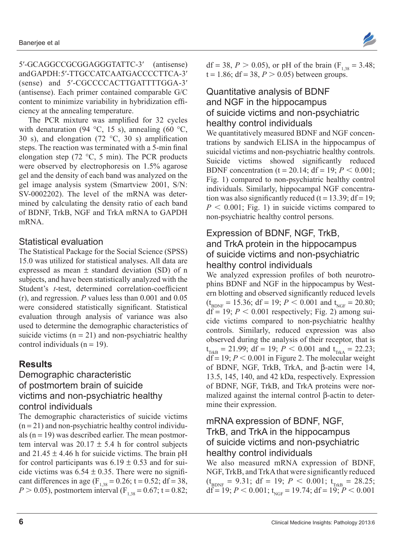5′-GCAGGCCGCGGAGGGTATTC-3′ (antisense) and GAPDH: 5′-TTGCCATCAATGACCCCTTCA-3′ (sense) and 5′-CGCCCCACTTGATTTTGGA-3′ (antisense). Each primer contained comparable G/C content to minimize variability in hybridization efficiency at the annealing temperature.

The PCR mixture was amplified for 32 cycles with denaturation (94 °C, 15 s), annealing (60 °C, 30 s), and elongation (72  $\degree$ C, 30 s) amplification steps. The reaction was terminated with a 5-min final elongation step (72 °C, 5 min). The PCR products were observed by electrophoresis on 1.5% agarose gel and the density of each band was analyzed on the gel image analysis system (Smartview 2001, S/N: SV-0002202). The level of the mRNA was determined by calculating the density ratio of each band of BDNF, TrkB, NGF and TrkA mRNA to GAPDH mRNA.

## Statistical evaluation

The Statistical Package for the Social Science (SPSS) 15.0 was utilized for statistical analyses. All data are expressed as mean  $\pm$  standard deviation (SD) of n subjects, and have been statistically analyzed with the Student's *t*-test, determined correlation-coefficient (r), and regression. *P* values less than 0.001 and 0.05 were considered statistically significant. Statistical evaluation through analysis of variance was also used to determine the demographic characteristics of suicide victims  $(n = 21)$  and non-psychiatric healthy control individuals  $(n = 19)$ .

## **Results**

#### Demographic characteristic of postmortem brain of suicide victims and non-psychiatric healthy control individuals

The demographic characteristics of suicide victims  $(n = 21)$  and non-psychiatric healthy control individuals  $(n = 19)$  was described earlier. The mean postmortem interval was  $20.17 \pm 5.4$  h for control subjects and  $21.45 \pm 4.46$  h for suicide victims. The brain pH for control participants was  $6.19 \pm 0.53$  and for suicide victims was  $6.54 \pm 0.35$ . There were no significant differences in age ( $F_{1,38} = 0.26$ ; t = 0.52; df = 38,  $P > 0.05$ ), postmortem interval (F<sub>1,38</sub> = 0.67; t = 0.82; df = 38,  $P > 0.05$ ), or pH of the brain (F<sub>1,38</sub> = 3.48;  $t = 1.86$ ;  $df = 38$ ,  $P > 0.05$ ) between groups.

### Quantitative analysis of BDNF and NGF in the hippocampus of suicide victims and non-psychiatric healthy control individuals

We quantitatively measured BDNF and NGF concentrations by sandwich ELISA in the hippocampus of suicidal victims and non-psychiatric healthy controls. Suicide victims showed significantly reduced BDNF concentration (t = 20.14;  $df = 19$ ;  $P < 0.001$ ; Fig. 1) compared to non-psychiatric healthy control individuals. Similarly, hippocampal NGF concentration was also significantly reduced ( $t = 13.39$ ; df = 19;  $P < 0.001$ ; Fig. 1) in suicide victims compared to non-psychiatric healthy control persons.

#### Expression of BDNF, NGF, TrkB, and TrkA protein in the hippocampus of suicide victims and non-psychiatric healthy control individuals

We analyzed expression profiles of both neurotrophins BDNF and NGF in the hippocampus by Western blotting and observed significantly reduced levels  $(t_{\text{BDNF}} = 15.36; df = 19; P < 0.001$  and  $t_{\text{NGF}} = 20.80;$  $df = 19$ ;  $P < 0.001$  respectively; Fig. 2) among suicide victims compared to non-psychiatric healthy controls. Similarly, reduced expression was also observed during the analysis of their receptor, that is  $t_{\text{TrkB}} = 21.99$ ; df = 19;  $P < 0.001$  and  $t_{\text{Trka}} = 22.23$ ;  $df = 19$ ;  $P < 0.001$  in Figure 2. The molecular weight of BDNF, NGF, TrkB, TrkA, and β-actin were 14, 13.5, 145, 140, and 42 kDa, respectively. Expression of BDNF, NGF, TrkB, and TrkA proteins were normalized against the internal control β-actin to determine their expression.

#### mRNA expression of BDNF, NGF, TrkB, and TrkA in the hippocampus of suicide victims and non-psychiatric healthy control individuals

We also measured mRNA expression of BDNF, NGF, TrkB, and TrkA that were significantly reduced  $(t_{\text{BDNF}} = 9.31; df = 19; P < 0.001; t_{\text{TrkB}} = 28.25;$ df = 19;  $P < 0.001$ ; t<sub>NGF</sub> = 19.74; df = 19;  $P < 0.001$ 

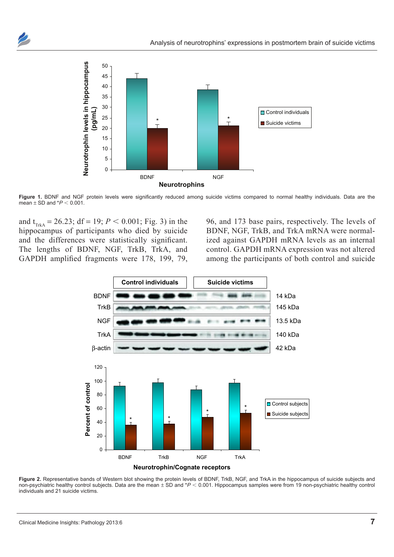



Figure 1. BDNF and NGF protein levels were significantly reduced among suicide victims compared to normal healthy individuals. Data are the mean  $\pm$  SD and  $*P < 0.001$ .

and  $t_{T_{\text{trk}}}= 26.23$ ; df = 19; *P* < 0.001; Fig. 3) in the hippocampus of participants who died by suicide and the differences were statistically significant. The lengths of BDNF, NGF, TrkB, TrkA, and GAPDH amplified fragments were 178, 199, 79, 96, and 173 base pairs, respectively. The levels of BDNF, NGF, TrkB, and TrkA mRNA were normalized against GAPDH mRNA levels as an internal control. GAPDH mRNA expression was not altered among the participants of both control and suicide



Figure 2. Representative bands of Western blot showing the protein levels of BDNF, TrkB, NGF, and TrkA in the hippocampus of suicide subjects and non-psychiatric healthy control subjects. Data are the mean ± SD and \**P* < 0.001. Hippocampus samples were from 19 non-psychiatric healthy control individuals and 21 suicide victims.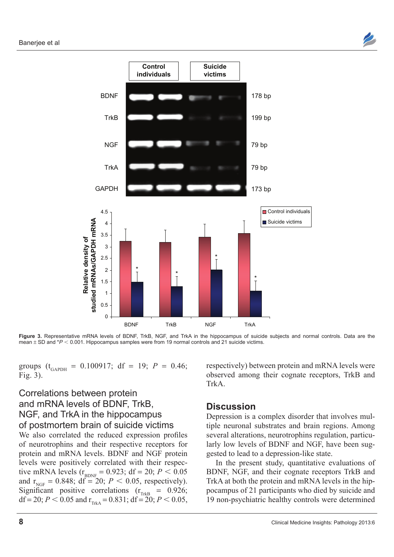



Figure 3. Representative mRNA levels of BDNF, TrkB, NGF, and TrkA in the hippocampus of suicide subjects and normal controls. Data are the mean  $\pm$  SD and  $*P < 0.001$ . Hippocampus samples were from 19 normal controls and 21 suicide victims.

groups ( $t_{\text{GAPDH}} = 0.100917$ ; df = 19;  $P = 0.46$ ; Fig. 3).

## Correlations between protein and mRNA levels of BDNF, TrkB, NGF, and TrkA in the hippocampus of postmortem brain of suicide victims

We also correlated the reduced expression profiles of neurotrophins and their respective receptors for protein and mRNA levels. BDNF and NGF protein levels were positively correlated with their respective mRNA levels ( $r_{\text{BDNF}} = 0.923$ ; df = 20;  $P < 0.05$ and  $r_{NGF} = 0.848$ ; df = 20;  $P < 0.05$ , respectively). Significant positive correlations  $(r_{\text{TrkB}} = 0.926)$ ; df = 20;  $P < 0.05$  and  $r_{\text{TrkA}} = 0.831$ ; df = 20;  $P < 0.05$ ,

respectively) between protein and mRNA levels were observed among their cognate receptors, TrkB and TrkA.

#### **Discussion**

Depression is a complex disorder that involves multiple neuronal substrates and brain regions. Among several alterations, neurotrophins regulation, particularly low levels of BDNF and NGF, have been suggested to lead to a depression-like state.

In the present study, quantitative evaluations of BDNF, NGF, and their cognate receptors TrkB and TrkA at both the protein and mRNA levels in the hippocampus of 21 participants who died by suicide and 19 non-psychiatric healthy controls were determined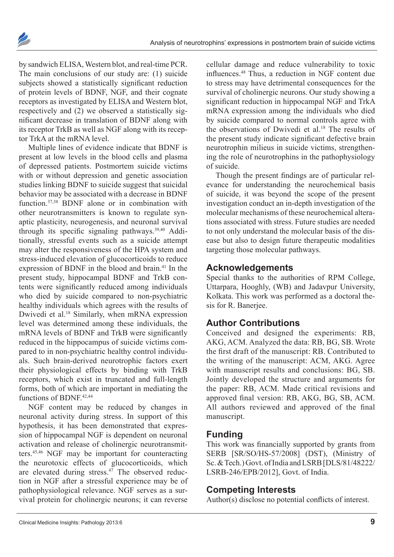



by sandwich ELISA, Western blot, and real-time PCR. The main conclusions of our study are: (1) suicide subjects showed a statistically significant reduction of protein levels of BDNF, NGF, and their cognate receptors as investigated by ELISA and Western blot, respectively and (2) we observed a statistically significant decrease in translation of BDNF along with its receptor TrkB as well as NGF along with its receptor TrkA at the mRNA level.

Multiple lines of evidence indicate that BDNF is present at low levels in the blood cells and plasma of depressed patients. Postmortem suicide victims with or without depression and genetic association studies linking BDNF to suicide suggest that suicidal behavior may be associated with a decrease in BDNF function.37,38 BDNF alone or in combination with other neurotransmitters is known to regulate synaptic plasticity, neurogenesis, and neuronal survival through its specific signaling pathways.39,40 Additionally, stressful events such as a suicide attempt may alter the responsiveness of the HPA system and stress-induced elevation of glucocorticoids to reduce expression of BDNF in the blood and brain.<sup>41</sup> In the present study, hippocampal BDNF and TrkB contents were significantly reduced among individuals who died by suicide compared to non-psychiatric healthy individuals which agrees with the results of Dwivedi et al.<sup>18</sup> Similarly, when mRNA expression level was determined among these individuals, the mRNA levels of BDNF and TrkB were significantly reduced in the hippocampus of suicide victims compared to in non-psychiatric healthy control individuals. Such brain-derived neurotrophic factors exert their physiological effects by binding with TrkB receptors, which exist in truncated and full-length forms, both of which are important in mediating the functions of BDNF<sup>42,44</sup>

NGF content may be reduced by changes in neuronal activity during stress. In support of this hypothesis, it has been demonstrated that expression of hippocampal NGF is dependent on neuronal activation and release of cholinergic neurotransmitters.45,46 NGF may be important for counteracting the neurotoxic effects of glucocorticoids, which are elevated during stress.<sup>47</sup> The observed reduction in NGF after a stressful experience may be of pathophysiological relevance. NGF serves as a survival protein for cholinergic neurons; it can reverse

cellular damage and reduce vulnerability to toxic influences.48 Thus, a reduction in NGF content due to stress may have detrimental consequences for the survival of cholinergic neurons. Our study showing a significant reduction in hippocampal NGF and TrkA mRNA expression among the individuals who died by suicide compared to normal controls agree with the observations of Dwivedi et al.<sup>18</sup> The results of the present study indicate significant defective brain neurotrophin milieus in suicide victims, strengthening the role of neurotrophins in the pathophysiology of suicide.

Though the present findings are of particular relevance for understanding the neurochemical basis of suicide, it was beyond the scope of the present investigation conduct an in-depth investigation of the molecular mechanisms of these neurochemical alterations associated with stress. Future studies are needed to not only understand the molecular basis of the disease but also to design future therapeutic modalities targeting those molecular pathways.

#### **Acknowledgements**

Special thanks to the authorities of RPM College, Uttarpara, Hooghly, (WB) and Jadavpur University, Kolkata. This work was performed as a doctoral thesis for R. Banerjee.

## **Author Contributions**

Conceived and designed the experiments: RB, AKG, ACM. Analyzed the data: RB, BG, SB. Wrote the first draft of the manuscript: RB. Contributed to the writing of the manuscript: ACM, AKG. Agree with manuscript results and conclusions: BG, SB. Jointly developed the structure and arguments for the paper: RB, ACM. Made critical revisions and approved final version: RB, AKG, BG, SB, ACM. All authors reviewed and approved of the final manuscript.

## **Funding**

This work was financially supported by grants from SERB [SR/SO/HS-57/2008] (DST), (Ministry of Sc. & Tech.) Govt. of India and LSRB [DLS/81/48222/ LSRB-246/EPB/2012], Govt. of India.

## **Competing Interests**

Author(s) disclose no potential conflicts of interest.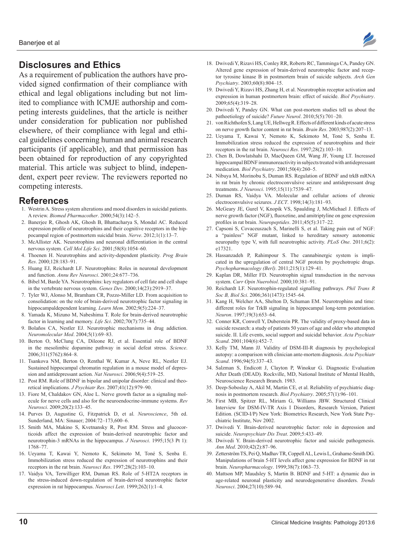### **Disclosures and Ethics**

As a requirement of publication the authors have provided signed confirmation of their compliance with ethical and legal obligations including but not limited to compliance with ICMJE authorship and competing interests guidelines, that the article is neither under consideration for publication nor published elsewhere, of their compliance with legal and ethical guidelines concerning human and animal research participants (if applicable), and that permission has been obtained for reproduction of any copyrighted material. This article was subject to blind, independent, expert peer review. The reviewers reported no competing interests.

#### **References**

- 1. Westrin A. Stress system alterations and mood disorders in suicidal patients. A review. *Biomed Pharmacother*. 2000;54(3):142–5.
- 2. Banerjee R, Ghosh AK, Ghosh B, Bhattacharya S, Mondal AC. Reduced expression profile of neurotrophins and their cognitive receptors in the hippocampal region of postmortem suicidal brain. *Nerve*. 2012;1(1):13–7.
- 3. McAllister AK. Neurotrophins and neuronal differentiation in the central nervous system. *Cell Mol Life Sci*. 2001;58(8):1054–60.
- 4. Thoenen H. Neurotrophins and activity-dependent plasticity. *Prog Brain Res*. 2000;128:183–91.
- 5. Huang EJ, Reichardt LF. Neurotrophins: Roles in neuronal development and function. *Annu Rev Neurosci*. 2001;24:677–736.
- 6. Bibel M, Barde YA. Neurotrophins: key regulators of cell fate and cell shape in the vertebrate nervous system. *Genes Dev*. 2000;14(23):2919–37.
- 7. Tyler WJ, Alonso M, Bramham CR, Pozzo-Miller LD. From acquisition to consolidation: on the role of brain-derived neurotrophic factor signaling in hippocampaldependent learning. *Learn Mem*. 2002;9(5):224–37.
- 8. Yamada K, Mizuno M, Nabeshima T. Role for brain-derived neurotrophic factor in learning and memory. *Life Sci*. 2002;70(7):735–44.
- 9. Bolaños CA, Nestler EJ. Neurotrophic mechanisms in drug addiction. *Neuromolecular Med*. 2004;5(1):69–83.
- 10. Berton O, McClung CA, Dileone RJ, et al. Essential role of BDNF in the mesolimbic dopamine pathway in social defeat stress. *Science*. 2006;311(5762):864–8.
- 11. Tsankova NM, Berton O, Renthal W, Kumar A, Neve RL, Nestler EJ. Sustained hippocampal chromatin regulation in a mouse model of depression and antidepressant action. *Nat Neurosci*. 2006;9(4):519–25.
- 12. Post RM. Role of BDNF in bipolar and unipolar disorder: clinical and theoretical implications. *J Psychiatr Res*. 2007;41(12):979–90.
- 13. Fiore M, Chaldakov GN, Aloe L. Nerve growth factor as a signaling molecule for nerve cells and also for the neuroendocrine-immune systems. *Rev Neurosci*. 2009;20(2):133–45.
- 14. Purves D, Augustine G, Fitzpatrick D, et al. *Neuroscience*, 5th ed. Sunderland, MA: Sinauer; 2004:72–173,600–6.
- 15. Smith MA, Makino S, Kvetnansky R, Post RM. Stress and glucocorticoids affect the expression of brain-derived neurotrophic factor and neurotrophin-3 mRNAs in the hippocampus. *J Neurosci*. 1995;15(3 Pt 1): 1768–77.
- 16. Ueyama T, Kawai Y, Nemoto K, Sekimoto M, Toné S, Senba E. Immobilization stress reduced the expression of neurotrophins and their receptors in the rat brain. *Neurosci Res*. 1997;28(2):103–10.
- 17. Vaidya VA, Terwilliger RM, Duman RS. Role of 5-HT2A receptors in the stress-induced down-regulation of brain-derived neurotrophic factor expression in rat hippocampus. *Neurosci Lett*. 1999;262(1):1–4.



- 18. Dwivedi Y, Rizavi HS, Conley RR, Roberts RC, Tamminga CA, Pandey GN. Altered gene expression of brain-derived neurotrophic factor and receptor tyrosine kinase B in postmortem brain of suicide subjects. *Arch Gen Psychiatry*. 2003;60(8):804–15.
- 19. Dwivedi Y, Rizavi HS, Zhang H, et al. Neurotrophin receptor activation and expression in human postmortem brain: effect of suicide. *Biol Psychiatry*. 2009;65(4):319–28.
- 20. Dwivedi Y, Pandey GN. What can post-mortem studies tell us about the pathoetiology of suicide? *Future Neurol*. 2010;5(5):701–20.
- 21. von Richthofen S, Lang UE, Hellweg R. Effects of different kinds of acute stress on nerve growth factor content in rat brain. *Brain Res*. 2003;987(2):207–13.
- 22. Ueyama T, Kawai Y, Nemoto K, Sekimoto M, Toné S, Senba E. Immobilization stress reduced the expression of neurotrophins and their receptors in the rat brain. *Neurosci Res*. 1997;28(2):103–10.
- 23. Chen B, Dowlatshahi D, MacQueen GM, Wang JF, Young LT. Increased hippocampal BDNF immunoreactivity in subjects treated with antidepressant medication. *Biol Psychiatry*. 2001;50(4):260–5.
- 24. Nibuya M, Morinobu S, Duman RS. Regulation of BDNF and trkB mRNA in rat brain by chronic electroconvulsive seizure and antidepressant drug treatments. *J Neurosci*. 1995;15(11):7539–47.
- 25. Duman RS, Vaidya VA. Molecular and cellular actions of chronic electroconvulsive seizures. *J ECT*. 1998;14(3):181–93.
- 26. McGeary JE, Gurel V, Knopik VS, Spaulding J, McMichael J. Effects of nerve growth factor (NGF), fluoxetine, and amitriptyline on gene expression profiles in rat brain. *Neuropeptides*. 2011;45(5):317–22.
- 27. Capsoni S, Covaceuszach S, Marinelli S, et al. Taking pain out of NGF: a "painless" NGF mutant, linked to hereditary sensory autonomic neuropathy type V, with full neurotrophic activity. *PLoS One*. 2011;6(2): e17321.
- 28. Hassanzadeh P, Rahimpour S. The cannabinergic system is implicated in the upregulation of central NGF protein by psychotropic drugs. *Psychopharmacology (Berl)*. 2011;215(1):129–41.
- 29. Kaplan DR, Miller FD. Neurotrophin signal transduction in the nervous system. *Curr Opin Nuerobiol*. 2000;10:381–91.
- 30. Reichardt LF. Neurotrophin-regulated signalling pathways. *Phil Trans R Soc B, Biol Sci*. 2006;361(1473):1545–64.
- 31. Kang H, Welcher AA, Shelton D, Schuman EM. Neurotrophins and time: different roles for TrkB signaling in hippocampal long-term potentiation. *Neuron*. 1997;19(3):653–64.
- 32. Conner KR, Conwell Y, Duberstein PR. The validity of proxy-based data in suicide research: a study of patients 50 years of age and older who attempted suicide. II. Life events, social support and suicidal behavior. *Acta Psychiatr Scand*. 2001;104(6):452–7.
- 33. Kelly TM, Mann JJ. Validity of DSM-III-R diagnosis by psychological autopsy: a comparison with clinician ante-mortem diagnosis. *Acta Psychiatr Scand*. 1996;94(5):337–43.
- 34. Salzman S, Endicott J, Clayton P, Winokur G. Diagnostic Evaluation After Death (DEAD). Rockville, MD, National Institute of Mental Health, Neuroscience Research Branch. 1983.
- 35. Deep-Soboslay A, Akil M, Martin CE, et al. Reliability of psychiatric diagnosis in postmortem research. *Biol Psychiatry*. 2005;57(1):96–101.
- 36. First MB, Spitzer RL, Miriam G, Williams JBW. Structured Clinical Interview for DSM-IV-TR Axis I Disorders, Research Version, Patient Edition. (SCID-I/P) New York: Biometrics Research, New York State Psychiatric Institute, Nov 2002.
- 37. Dwivedi Y. Brain-derived neurotrophic factor: role in depression and suicide. *Neuropsychiatr Dis Treat*. 2009;5:433–49.
- 38. Dwivedi Y. Brain-derived neurotrophic factor and suicide pathogenesis. *Ann Med*. 2010;42(2):87–96.
- 39. Zetterström TS, Pei Q, Madhav TR, Coppell AL, Lewis L, Grahame-Smith DG. Manipulations of brain 5-HT levels affect gene expression for BDNF in rat brain. *Neuropharmacology*. 1999;38(7):1063–73.
- 40. Mattson MP, Maudsley S, Martin B. BDNF and 5-HT: a dynamic duo in age-related neuronal plasticity and neurodegenerative disorders. *Trends Neurosci*. 2004;27(10):589–94.